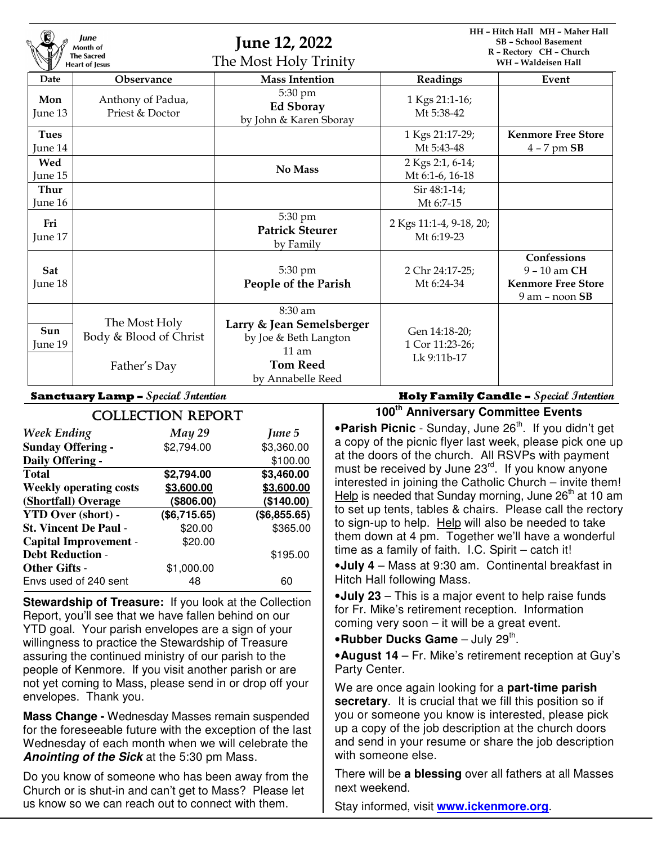| lune<br>Month of<br><b>The Sacred</b><br><b>Heart of Jesus</b> |                                                         | <b>June 12, 2022</b><br>The Most Holy Trinity                                                                            |                                                 | HH - Hitch Hall MH - Maher Hall<br><b>SB</b> - School Basement<br>R - Rectory CH - Church<br>WH - Waldeisen Hall |  |
|----------------------------------------------------------------|---------------------------------------------------------|--------------------------------------------------------------------------------------------------------------------------|-------------------------------------------------|------------------------------------------------------------------------------------------------------------------|--|
| Date                                                           | <b>Observance</b>                                       | <b>Mass Intention</b>                                                                                                    | Readings                                        | Event                                                                                                            |  |
| Mon<br>June 13                                                 | Anthony of Padua,<br>Priest & Doctor                    | 5:30 pm<br><b>Ed Sboray</b><br>by John & Karen Sboray                                                                    | 1 Kgs 21:1-16;<br>Mt 5:38-42                    |                                                                                                                  |  |
| <b>Tues</b>                                                    |                                                         |                                                                                                                          | 1 Kgs 21:17-29;                                 | <b>Kenmore Free Store</b>                                                                                        |  |
| June 14                                                        |                                                         |                                                                                                                          | Mt 5:43-48                                      | $4 - 7$ pm $SB$                                                                                                  |  |
| Wed                                                            |                                                         |                                                                                                                          | 2 Kgs 2:1, 6-14;                                |                                                                                                                  |  |
| June 15                                                        |                                                         | No Mass                                                                                                                  | Mt 6:1-6, 16-18                                 |                                                                                                                  |  |
| Thur                                                           |                                                         |                                                                                                                          | Sir 48:1-14;                                    |                                                                                                                  |  |
| June 16                                                        |                                                         |                                                                                                                          | Mt 6:7-15                                       |                                                                                                                  |  |
| Fri<br>June 17                                                 |                                                         | 5:30 pm<br><b>Patrick Steurer</b><br>by Family                                                                           | 2 Kgs 11:1-4, 9-18, 20;<br>Mt 6:19-23           |                                                                                                                  |  |
| Sat<br>June 18                                                 |                                                         | 5:30 pm<br>People of the Parish                                                                                          | 2 Chr 24:17-25;<br>Mt 6:24-34                   | Confessions<br>9 - 10 am CH<br><b>Kenmore Free Store</b><br>$9$ am – noon $SB$                                   |  |
| Sun<br>June 19                                                 | The Most Holy<br>Body & Blood of Christ<br>Father's Day | 8:30 am<br>Larry & Jean Semelsberger<br>by Joe & Beth Langton<br>$11 \text{ am}$<br><b>Tom Reed</b><br>by Annabelle Reed | Gen 14:18-20;<br>1 Cor 11:23-26;<br>Lk 9:11b-17 |                                                                                                                  |  |

| <b>COLLECTION REPORT</b>      |               |              |  |  |  |
|-------------------------------|---------------|--------------|--|--|--|
| <b>Week Ending</b>            | <b>May 29</b> | June 5       |  |  |  |
| <b>Sunday Offering -</b>      | \$2,794.00    | \$3,360.00   |  |  |  |
| Daily Offering -              |               | \$100.00     |  |  |  |
| <b>Total</b>                  | \$2,794.00    | \$3,460.00   |  |  |  |
| <b>Weekly operating costs</b> | \$3,600.00    | \$3,600.00   |  |  |  |
| (Shortfall) Overage           | (\$806.00)    | (\$140.00)   |  |  |  |
| <b>YTD Over (short) -</b>     | (\$6,715.65)  | (\$6,855.65) |  |  |  |
| <b>St. Vincent De Paul -</b>  | \$20.00       | \$365.00     |  |  |  |
| <b>Capital Improvement -</b>  | \$20.00       |              |  |  |  |
| <b>Debt Reduction -</b>       |               | \$195.00     |  |  |  |
| <b>Other Gifts -</b>          | \$1,000.00    |              |  |  |  |
| Envs used of 240 sent         | 48            | 60           |  |  |  |

**Stewardship of Treasure:** If you look at the Collection Report, you'll see that we have fallen behind on our YTD goal. Your parish envelopes are a sign of your willingness to practice the Stewardship of Treasure assuring the continued ministry of our parish to the people of Kenmore. If you visit another parish or are not yet coming to Mass, please send in or drop off your envelopes. Thank you.

**Mass Change -** Wednesday Masses remain suspended for the foreseeable future with the exception of the last Wednesday of each month when we will celebrate the **Anointing of the Sick** at the 5:30 pm Mass.

Do you know of someone who has been away from the Church or is shut-in and can't get to Mass? Please let us know so we can reach out to connect with them.

**Sanctuary Lamp – Special Intention Holy Family Candle – Special Intention**

**100th Anniversary Committee Events** 

**•Parish Picnic** - Sunday, June 26<sup>th</sup>. If you didn't get a copy of the picnic flyer last week, please pick one up at the doors of the church. All RSVPs with payment must be received by June 23<sup>rd</sup>. If you know anyone interested in joining the Catholic Church – invite them! Help is needed that Sunday morning, June  $26<sup>th</sup>$  at 10 am to set up tents, tables & chairs. Please call the rectory to sign-up to help. Help will also be needed to take them down at 4 pm. Together we'll have a wonderful time as a family of faith. I.C. Spirit – catch it!

•**July 4** – Mass at 9:30 am. Continental breakfast in Hitch Hall following Mass.

•**July 23** – This is a major event to help raise funds for Fr. Mike's retirement reception. Information coming very soon – it will be a great event.

**•Rubber Ducks Game** – July 29<sup>th</sup>.

•**August 14** – Fr. Mike's retirement reception at Guy's Party Center.

We are once again looking for a **part-time parish secretary**. It is crucial that we fill this position so if you or someone you know is interested, please pick up a copy of the job description at the church doors and send in your resume or share the job description with someone else.

There will be **a blessing** over all fathers at all Masses next weekend.

Stay informed, visit **www.ickenmore.org**.